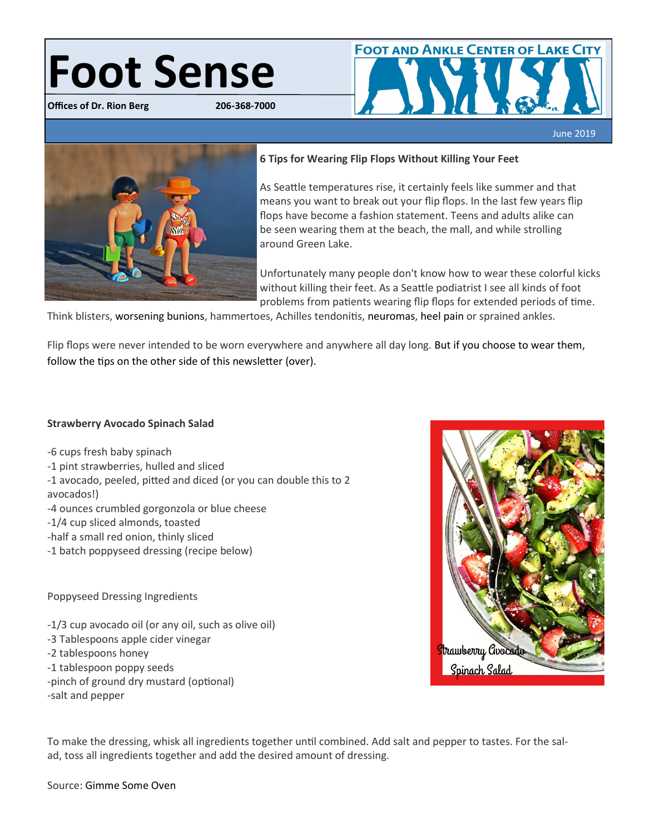# **Foot Sense**

**Offices of Dr. Rion Berg 206-368-7000**



#### **6 Tips for Wearing Flip Flops Without Killing Your Feet**

As Seattle temperatures rise, it certainly feels like summer and that means you want to break out your flip flops. In the last few years flip flops have become a fashion statement. Teens and adults alike can be seen wearing them at the beach, the mall, and while strolling around Green Lake.

Unfortunately many people don't know how to wear these colorful kicks without killing their feet. As a Seattle podiatrist I see all kinds of foot problems from patients wearing flip flops for extended periods of time.

Think blisters, worsening bunions, hammertoes, Achilles tendonitis, neuromas, heel pain or sprained ankles.

Flip flops were never intended to be worn everywhere and anywhere all day long. But if you choose to wear them, follow the tips on the other side of this newsletter (over).

#### **Strawberry Avocado Spinach Salad**

-6 cups fresh baby spinach -1 pint strawberries, hulled and sliced -1 avocado, peeled, pitted and diced (or you can double this to 2 avocados!) -4 ounces crumbled gorgonzola or blue cheese -1/4 cup sliced almonds, toasted -half a small red onion, thinly sliced -1 batch poppyseed dressing (recipe below)

Poppyseed Dressing Ingredients

-1/3 cup avocado oil (or any oil, such as olive oil)

- -3 Tablespoons apple cider vinegar
- -2 tablespoons honey
- -1 tablespoon poppy seeds
- -pinch of ground dry mustard (optional) -salt and pepper

**Strawberry Goodsdo** Spinach Salad

To make the dressing, whisk all ingredients together until combined. Add salt and pepper to tastes. For the salad, toss all ingredients together and add the desired amount of dressing.